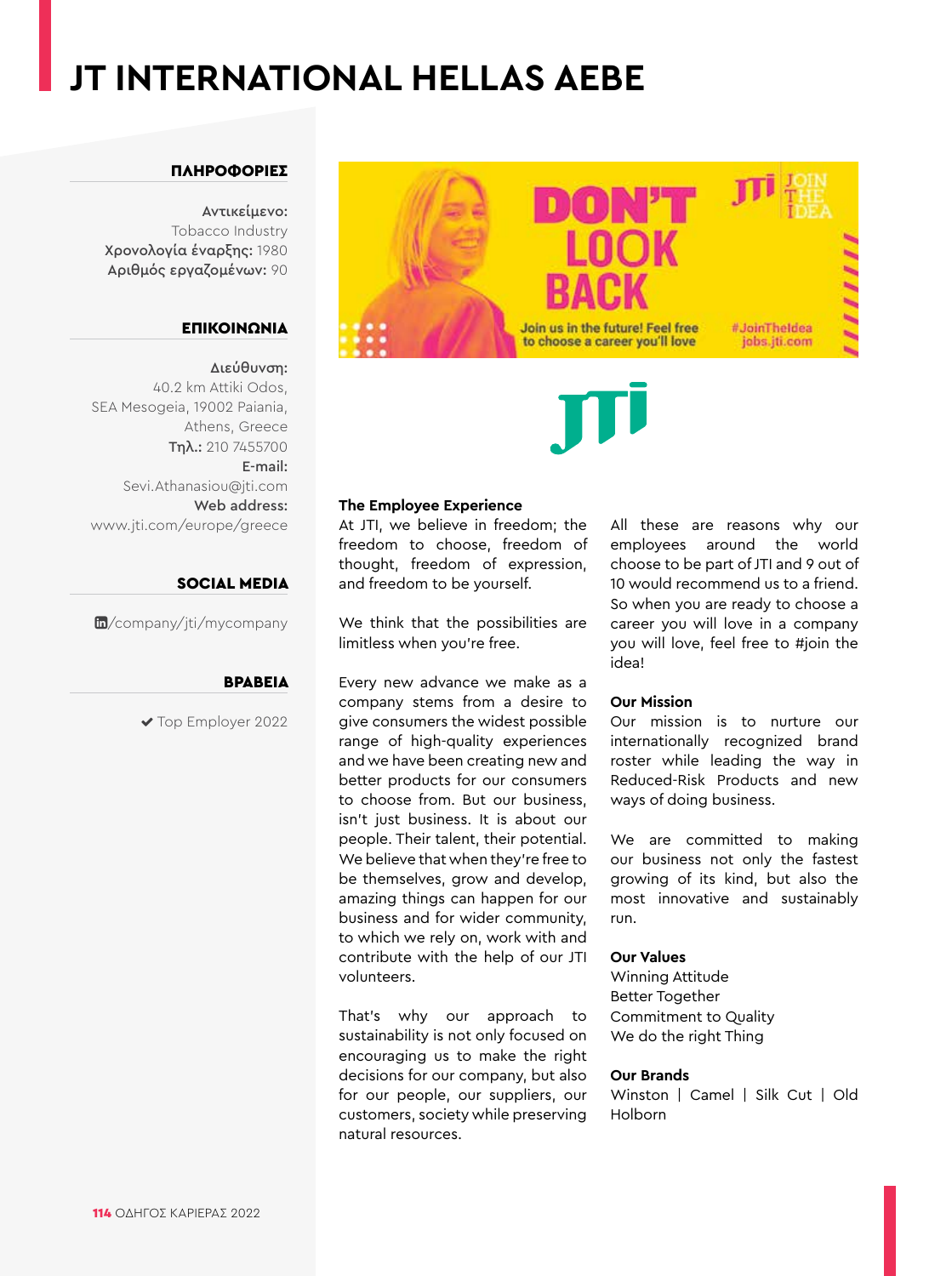### **JT INTERNATIONAL HELLAS AEBE**

#### ΠΛΗΡΟΦΟΡΙΕΣ

Αντικείμενο: Tobacco Industry Χρονολογία έναρξης: 1980 Αριθμός εργαζομένων: 90

### ΕΠΙΚΟΙΝΩΝΙΑ

Διεύθυνση: 40.2 km Attiki Odos, SEA Mesogeia, 19002 Paiania, Athens, Greece Τηλ.: 210 7455700 E-mail: Sevi.Athanasiou@jti.com Web address: www.jti.com/europe/greece

#### SOCIAL MEDIA

[/company/jti/mycompany](https://www.linkedin.com/company/jti/)

#### ΒΡΑΒΕΊΑ

◆ Top Employer 2022





#### **The Employee Experience**

At JTI, we believe in freedom; the freedom to choose, freedom of thought, freedom of expression, and freedom to be yourself.

We think that the possibilities are limitless when you're free.

Every new advance we make as a company stems from a desire to give consumers the widest possible range of high-quality experiences and we have been creating new and better products for our consumers to choose from. But our business, isn't just business. It is about our people. Their talent, their potential. We believe that when they're free to be themselves, grow and develop, amazing things can happen for our business and for wider community, to which we rely on, work with and contribute with the help of our JTI volunteers.

That's why our approach to sustainability is not only focused on encouraging us to make the right decisions for our company, but also for our people, our suppliers, our customers, society while preserving natural resources.

All these are reasons why our employees around the world choose to be part of JTI and 9 out of 10 would recommend us to a friend. So when you are ready to choose a career you will love in a company you will love, feel free to #join the idea!

#### **Our Mission**

Our mission is to nurture our internationally recognized brand roster while leading the way in Reduced-Risk Products and new ways of doing business.

We are committed to making our business not only the fastest growing of its kind, but also the most innovative and sustainably run.

#### **Our Values**

Winning Attitude Better Together Commitment to Quality We do the right Thing

#### **Our Brands**

Winston | Camel | Silk Cut | Old Holborn